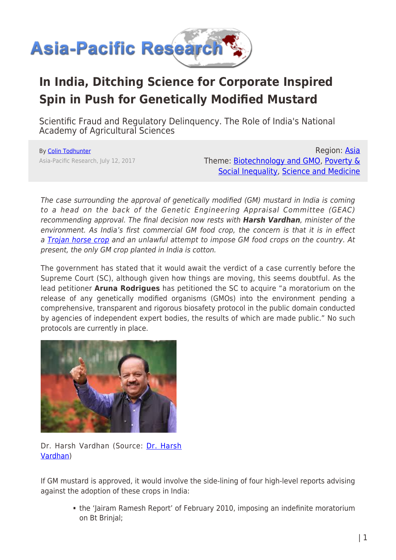

## **In India, Ditching Science for Corporate Inspired Spin in Push for Genetically Modified Mustard**

Scientific Fraud and Regulatory Delinquency. The Role of India's National Academy of Agricultural Sciences

By [Colin Todhunter](https://www.asia-pacificresearch.com/author/colin-todhunter) Asia-Pacific Research, July 12, 2017

Region: [Asia](https://www.asia-pacificresearch.com/region/asia-as) Theme: [Biotechnology and GMO,](https://www.asia-pacificresearch.com/theme/biotechnology-and-gmo-as) [Poverty &](https://www.asia-pacificresearch.com/theme/poverty-social-inequality-as) [Social Inequality](https://www.asia-pacificresearch.com/theme/poverty-social-inequality-as), [Science and Medicine](https://www.asia-pacificresearch.com/theme/science-and-medicine-as)

The case surrounding the approval of genetically modified (GM) mustard in India is coming to a head on the back of the Genetic Engineering Appraisal Committee (GEAC) recommending approval. The final decision now rests with *Harsh Vardhan*, minister of the environment. As India's first commercial GM food crop, the concern is that it is in effect a [Trojan horse crop](http://www.theecologist.org/News/news_analysis/2987143/beware_the_gmo_trojan_horse_indian_food_and_farming_are_under_attack.html) and an unlawful attempt to impose GM food crops on the country. At present, the only GM crop planted in India is cotton.

The government has stated that it would await the verdict of a case currently before the Supreme Court (SC), although given how things are moving, this seems doubtful. As the lead petitioner **Aruna Rodrigues** has petitioned the SC to acquire "a moratorium on the release of any genetically modified organisms (GMOs) into the environment pending a comprehensive, transparent and rigorous biosafety protocol in the public domain conducted by agencies of independent expert bodies, the results of which are made public." No such protocols are currently in place.



Dr. Harsh Vardhan (Source: [Dr. Harsh](http://www.drharshvardhan.com/photo-gallery_drHarshvardhan.php) [Vardhan\)](http://www.drharshvardhan.com/photo-gallery_drHarshvardhan.php)

If GM mustard is approved, it would involve the side-lining of four high-level reports advising against the adoption of these crops in India:

> the 'Jairam Ramesh Report' of February 2010, imposing an indefinite moratorium on Bt Brinjal;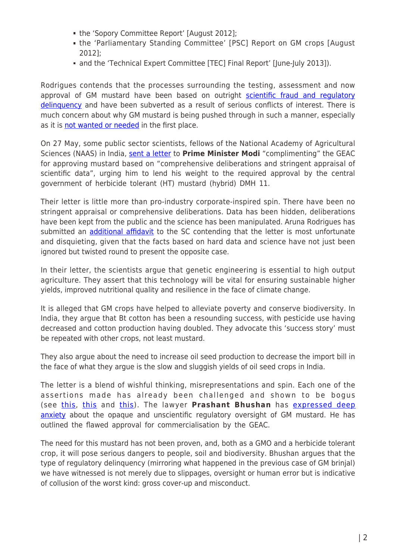- the 'Sopory Committee Report' [August 2012];
- the 'Parliamentary Standing Committee' [PSC] Report on GM crops [August 2012];
- and the 'Technical Expert Committee [TEC] Final Report' [June-July 2013]).

Rodrigues contends that the processes surrounding the testing, assessment and now approval of GM mustard have been based on outright [scientific fraud and regulatory](https://www.countercurrents.org/arunapetition.pdf) [delinquency](https://www.countercurrents.org/arunapetition.pdf) and have been subverted as a result of serious conflicts of interest. There is much concern about why GM mustard is being pushed through in such a manner, especially as it is [not wanted or needed](http://www.countercurrents.org/cgm031115.htm) in the first place.

On 27 May, some public sector scientists, fellows of the National Academy of Agricultural Sciences (NAAS) in India, [sent a letter](http://rinf.com/alt-news/wp-content/uploads/2017/07/GE-Mustard-Letter-for-PM-1-2.pdf) to **Prime Minister Modi** "complimenting" the GEAC for approving mustard based on "comprehensive deliberations and stringent appraisal of scientific data", urging him to lend his weight to the required approval by the central government of herbicide tolerant (HT) mustard (hybrid) DMH 11.

Their letter is little more than pro-industry corporate-inspired spin. There have been no stringent appraisal or comprehensive deliberations. Data has been hidden, deliberations have been kept from the public and the science has been manipulated. Aruna Rodrigues has submitted an **[additional affidavit](http://rinf.com/alt-news/wp-content/uploads/2017/07/MUSTARD-Additional-Affidavit-FINAL-IA-48-DMH-7-July-2017-1.docx)** to the SC contending that the letter is most unfortunate and disquieting, given that the facts based on hard data and science have not just been ignored but twisted round to present the opposite case.

In their letter, the scientists argue that genetic engineering is essential to high output agriculture. They assert that this technology will be vital for ensuring sustainable higher yields, improved nutritional quality and resilience in the face of climate change.

It is alleged that GM crops have helped to alleviate poverty and conserve biodiversity. In India, they argue that Bt cotton has been a resounding success, with pesticide use having decreased and cotton production having doubled. They advocate this 'success story' must be repeated with other crops, not least mustard.

They also argue about the need to increase oil seed production to decrease the import bill in the face of what they argue is the slow and sluggish yields of oil seed crops in India.

The letter is a blend of wishful thinking, misrepresentations and spin. Each one of the assertions made has already been challenged and shown to be bogus (see [this](http://gmoinquiry.ca/wp-content/uploads/2015/12/do-we-need-gm-feed-world-report-E-web.pdf), [this](https://www.nytimes.com/2016/10/30/business/gmo-promise-falls-short.html) and [this](http://www.theecologist.org/News/news_analysis/2986738/claiming_to_represent_science_the_global_gmo_industry_is_built_on_fear_fraud_and_corruption.html)). The lawyer **Prashant Bhushan** has [expressed deep](http://www.catchnews.com/india-news/prashant-bhushan-questions-approval-for-gm-mustard-in-letter-to-anil-dave-61082.html) [anxiety](http://www.catchnews.com/india-news/prashant-bhushan-questions-approval-for-gm-mustard-in-letter-to-anil-dave-61082.html) about the opaque and unscientific regulatory oversight of GM mustard. He has outlined the flawed approval for commercialisation by the GEAC.

The need for this mustard has not been proven, and, both as a GMO and a herbicide tolerant crop, it will pose serious dangers to people, soil and biodiversity. Bhushan argues that the type of regulatory delinquency (mirroring what happened in the previous case of GM brinjal) we have witnessed is not merely due to slippages, oversight or human error but is indicative of collusion of the worst kind: gross cover-up and misconduct.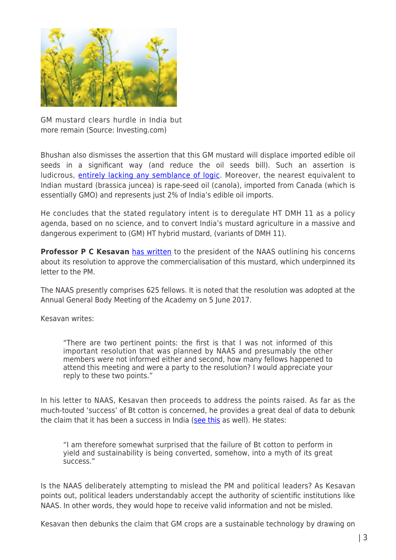

GM mustard clears hurdle in India but more remain (Source: Investing.com)

Bhushan also dismisses the assertion that this GM mustard will displace imported edible oil seeds in a significant way (and reduce the oil seeds bill). Such an assertion is ludicrous, [entirely lacking any semblance of logic.](http://www.deccanherald.com/content/572990/to-increase-oilseed-production-relaunch.html) Moreover, the nearest equivalent to Indian mustard (brassica juncea) is rape-seed oil (canola), imported from Canada (which is essentially GMO) and represents just 2% of India's edible oil imports.

He concludes that the stated regulatory intent is to deregulate HT DMH 11 as a policy agenda, based on no science, and to convert India's mustard agriculture in a massive and dangerous experiment to (GM) HT hybrid mustard, (variants of DMH 11).

**Professor P C Kesavan** [has written](http://rinf.com/alt-news/wp-content/uploads/2017/07/Dr.-Panjab-Singh.pdf) to the president of the NAAS outlining his concerns about its resolution to approve the commercialisation of this mustard, which underpinned its letter to the PM.

The NAAS presently comprises 625 fellows. It is noted that the resolution was adopted at the Annual General Body Meeting of the Academy on 5 June 2017.

Kesavan writes:

"There are two pertinent points: the first is that I was not informed of this important resolution that was planned by NAAS and presumably the other members were not informed either and second, how many fellows happened to attend this meeting and were a party to the resolution? I would appreciate your reply to these two points."

In his letter to NAAS, Kesavan then proceeds to address the points raised. As far as the much-touted 'success' of Bt cotton is concerned, he provides a great deal of data to debunk the claim that it has been a success in India ([see this](http://rinf.com/alt-news/wp-content/uploads/2017/07/Rejoinder-Bt-Cotton-FINAL-3rd-Feb-2017.docx) as well). He states:

"I am therefore somewhat surprised that the failure of Bt cotton to perform in yield and sustainability is being converted, somehow, into a myth of its great success."

Is the NAAS deliberately attempting to mislead the PM and political leaders? As Kesavan points out, political leaders understandably accept the authority of scientific institutions like NAAS. In other words, they would hope to receive valid information and not be misled.

Kesavan then debunks the claim that GM crops are a sustainable technology by drawing on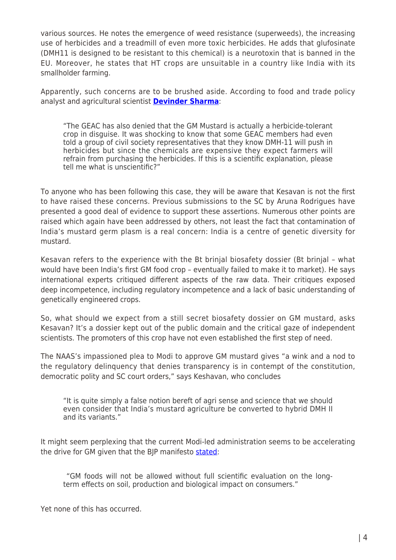various sources. He notes the emergence of weed resistance (superweeds), the increasing use of herbicides and a treadmill of even more toxic herbicides. He adds that glufosinate (DMH11 is designed to be resistant to this chemical) is a neurotoxin that is banned in the EU. Moreover, he states that HT crops are unsuitable in a country like India with its smallholder farming.

Apparently, such concerns are to be brushed aside. According to food and trade policy analyst and agricultural scientist **[Devinder Sharma](http://smartinvestor.business-standard.com/market/story-458530-storydet-GM_Mustard_India_gearing_up_to_be_biggest_dustbin_for_risky_harmful_tech.htm#.WWUh14TyvIV)**:

"The GEAC has also denied that the GM Mustard is actually a herbicide-tolerant crop in disguise. It was shocking to know that some GEAC members had even told a group of civil society representatives that they know DMH-11 will push in herbicides but since the chemicals are expensive they expect farmers will refrain from purchasing the herbicides. If this is a scientific explanation, please tell me what is unscientific?"

To anyone who has been following this case, they will be aware that Kesavan is not the first to have raised these concerns. Previous submissions to the SC by Aruna Rodrigues have presented a good deal of evidence to support these assertions. Numerous other points are raised which again have been addressed by others, not least the fact that contamination of India's mustard germ plasm is a real concern: India is a centre of genetic diversity for mustard.

Kesavan refers to the experience with the Bt brinjal biosafety dossier (Bt brinjal – what would have been India's first GM food crop – eventually failed to make it to market). He says international experts critiqued different aspects of the raw data. Their critiques exposed deep incompetence, including regulatory incompetence and a lack of basic understanding of genetically engineered crops.

So, what should we expect from a still secret biosafety dossier on GM mustard, asks Kesavan? It's a dossier kept out of the public domain and the critical gaze of independent scientists. The promoters of this crop have not even established the first step of need.

The NAAS's impassioned plea to Modi to approve GM mustard gives "a wink and a nod to the regulatory delinquency that denies transparency is in contempt of the constitution, democratic polity and SC court orders," says Keshavan, who concludes

"It is quite simply a false notion bereft of agri sense and science that we should even consider that India's mustard agriculture be converted to hybrid DMH II and its variants."

It might seem perplexing that the current Modi-led administration seems to be accelerating the drive for GM given that the BIP manifesto [stated:](http://www.biospectrumindia.com/biospecindia/news/212454/bjp-no-gm-foods)

 "GM foods will not be allowed without full scientific evaluation on the longterm effects on soil, production and biological impact on consumers."

Yet none of this has occurred.